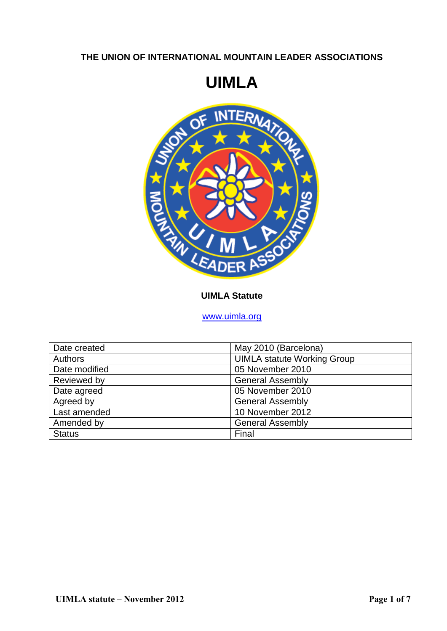# **THE UNION OF INTERNATIONAL MOUNTAIN LEADER ASSOCIATIONS**

# **UIMLA**



#### **UIMLA Statute**

#### [www.uimla.org](http://www.uimla.org/)

| Date created   | May 2010 (Barcelona)               |
|----------------|------------------------------------|
| <b>Authors</b> | <b>UIMLA statute Working Group</b> |
| Date modified  | 05 November 2010                   |
| Reviewed by    | <b>General Assembly</b>            |
| Date agreed    | 05 November 2010                   |
| Agreed by      | <b>General Assembly</b>            |
| Last amended   | 10 November 2012                   |
| Amended by     | <b>General Assembly</b>            |
| <b>Status</b>  | Final                              |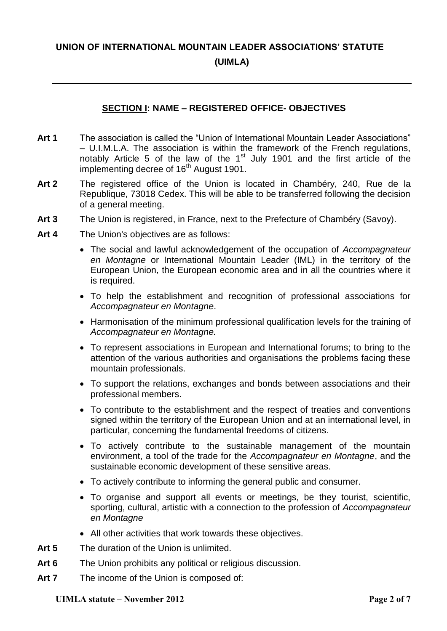# **UNION OF INTERNATIONAL MOUNTAIN LEADER ASSOCIATIONS' STATUTE**

### **(UIMLA)**

### **SECTION I: NAME – REGISTERED OFFICE- OBJECTIVES**

- **Art 1** The association is called the "Union of International Mountain Leader Associations" – U.I.M.L.A. The association is within the framework of the French regulations, notably Article 5 of the law of the  $1<sup>st</sup>$  July 1901 and the first article of the implementing decree of 16<sup>th</sup> August 1901.
- **Art 2** The registered office of the Union is located in Chambéry, 240, Rue de la Republique, 73018 Cedex. This will be able to be transferred following the decision of a general meeting.
- **Art 3** The Union is registered, in France, next to the Prefecture of Chambéry (Savoy).
- **Art 4** The Union's objectives are as follows:
	- The social and lawful acknowledgement of the occupation of *Accompagnateur en Montagne* or International Mountain Leader (IML) in the territory of the European Union, the European economic area and in all the countries where it is required.
	- To help the establishment and recognition of professional associations for *Accompagnateur en Montagne*.
	- Harmonisation of the minimum professional qualification levels for the training of *Accompagnateur en Montagne.*
	- To represent associations in European and International forums; to bring to the attention of the various authorities and organisations the problems facing these mountain professionals.
	- To support the relations, exchanges and bonds between associations and their professional members.
	- To contribute to the establishment and the respect of treaties and conventions signed within the territory of the European Union and at an international level, in particular, concerning the fundamental freedoms of citizens.
	- To actively contribute to the sustainable management of the mountain environment, a tool of the trade for the *Accompagnateur en Montagne*, and the sustainable economic development of these sensitive areas.
	- To actively contribute to informing the general public and consumer.
	- To organise and support all events or meetings, be they tourist, scientific, sporting, cultural, artistic with a connection to the profession of *Accompagnateur en Montagne*
	- All other activities that work towards these objectives.
- **Art 5** The duration of the Union is unlimited.
- **Art 6** The Union prohibits any political or religious discussion.
- **Art 7** The income of the Union is composed of: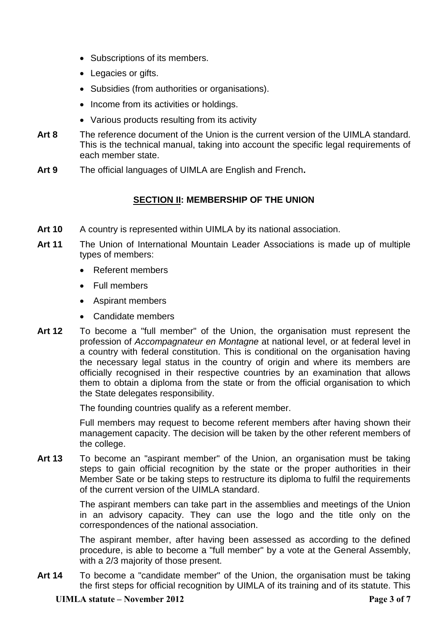- Subscriptions of its members.
- Legacies or gifts.
- Subsidies (from authorities or organisations).
- Income from its activities or holdings.
- Various products resulting from its activity
- **Art 8** The reference document of the Union is the current version of the UIMLA standard. This is the technical manual, taking into account the specific legal requirements of each member state.
- **Art 9** The official languages of UIMLA are English and French**.**

# **SECTION II: MEMBERSHIP OF THE UNION**

- Art 10 A country is represented within UIMLA by its national association.
- **Art 11** The Union of International Mountain Leader Associations is made up of multiple types of members:
	- Referent members
	- Full members
	- Aspirant members
	- Candidate members
- **Art 12** To become a "full member" of the Union, the organisation must represent the profession of *Accompagnateur en Montagne* at national level, or at federal level in a country with federal constitution. This is conditional on the organisation having the necessary legal status in the country of origin and where its members are officially recognised in their respective countries by an examination that allows them to obtain a diploma from the state or from the official organisation to which the State delegates responsibility.

The founding countries qualify as a referent member.

Full members may request to become referent members after having shown their management capacity. The decision will be taken by the other referent members of the college.

**Art 13** To become an "aspirant member" of the Union, an organisation must be taking steps to gain official recognition by the state or the proper authorities in their Member Sate or be taking steps to restructure its diploma to fulfil the requirements of the current version of the UIMLA standard.

> The aspirant members can take part in the assemblies and meetings of the Union in an advisory capacity. They can use the logo and the title only on the correspondences of the national association.

> The aspirant member, after having been assessed as according to the defined procedure, is able to become a "full member" by a vote at the General Assembly, with a 2/3 majority of those present.

**Art 14** To become a "candidate member" of the Union, the organisation must be taking the first steps for official recognition by UIMLA of its training and of its statute. This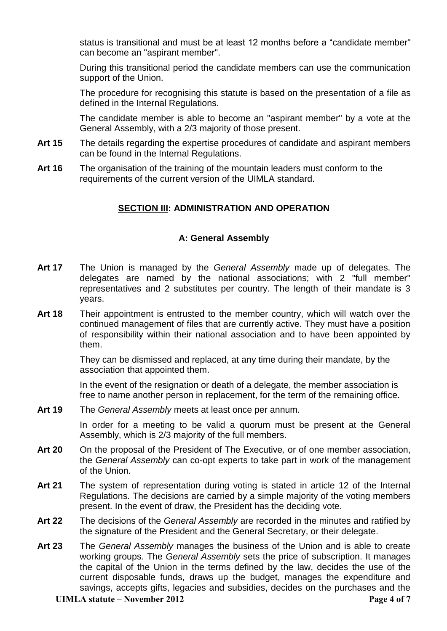status is transitional and must be at least 12 months before a "candidate member" can become an "aspirant member".

During this transitional period the candidate members can use the communication support of the Union.

The procedure for recognising this statute is based on the presentation of a file as defined in the Internal Regulations.

The candidate member is able to become an "aspirant member" by a vote at the General Assembly, with a 2/3 majority of those present.

- **Art 15** The details regarding the expertise procedures of candidate and aspirant members can be found in the Internal Regulations.
- **Art 16** The organisation of the training of the mountain leaders must conform to the requirements of the current version of the UIMLA standard.

#### **SECTION III: ADMINISTRATION AND OPERATION**

#### **A: General Assembly**

- **Art 17** The Union is managed by the *General Assembly* made up of delegates. The delegates are named by the national associations; with 2 "full member" representatives and 2 substitutes per country. The length of their mandate is 3 years.
- **Art 18** Their appointment is entrusted to the member country, which will watch over the continued management of files that are currently active. They must have a position of responsibility within their national association and to have been appointed by them.

They can be dismissed and replaced, at any time during their mandate, by the association that appointed them.

In the event of the resignation or death of a delegate, the member association is free to name another person in replacement, for the term of the remaining office.

**Art 19** The *General Assembly* meets at least once per annum.

In order for a meeting to be valid a quorum must be present at the General Assembly, which is 2/3 majority of the full members.

- **Art 20** On the proposal of the President of The Executive*,* or of one member association, the *General Assembly* can co-opt experts to take part in work of the management of the Union.
- **Art 21** The system of representation during voting is stated in article 12 of the Internal Regulations. The decisions are carried by a simple majority of the voting members present. In the event of draw, the President has the deciding vote.
- **Art 22** The decisions of the *General Assembly* are recorded in the minutes and ratified by the signature of the President and the General Secretary, or their delegate.
- **Art 23** The *General Assembly* manages the business of the Union and is able to create working groups. The *General Assembly* sets the price of subscription. It manages the capital of the Union in the terms defined by the law, decides the use of the current disposable funds, draws up the budget, manages the expenditure and savings, accepts gifts, legacies and subsidies, decides on the purchases and the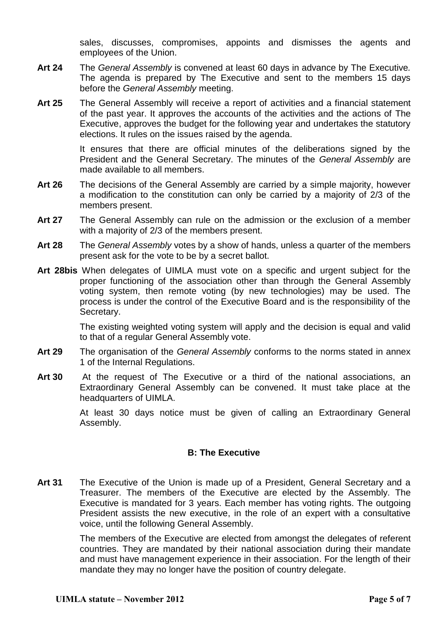sales, discusses, compromises, appoints and dismisses the agents and employees of the Union.

- **Art 24** The *General Assembly* is convened at least 60 days in advance by The Executive*.* The agenda is prepared by The Executive and sent to the members 15 days before the *General Assembly* meeting.
- **Art 25** The General Assembly will receive a report of activities and a financial statement of the past year. It approves the accounts of the activities and the actions of The Executive, approves the budget for the following year and undertakes the statutory elections. It rules on the issues raised by the agenda.

It ensures that there are official minutes of the deliberations signed by the President and the General Secretary. The minutes of the *General Assembly* are made available to all members.

- **Art 26** The decisions of the General Assembly are carried by a simple majority, however a modification to the constitution can only be carried by a majority of 2/3 of the members present.
- **Art 27** The General Assembly can rule on the admission or the exclusion of a member with a majority of 2/3 of the members present.
- **Art 28** The *General Assembly* votes by a show of hands, unless a quarter of the members present ask for the vote to be by a secret ballot.
- **Art 28bis** When delegates of UIMLA must vote on a specific and urgent subject for the proper functioning of the association other than through the General Assembly voting system, then remote voting (by new technologies) may be used. The process is under the control of the Executive Board and is the responsibility of the Secretary.

The existing weighted voting system will apply and the decision is equal and valid to that of a regular General Assembly vote.

- **Art 29** The organisation of the *General Assembly* conforms to the norms stated in annex 1 of the Internal Regulations.
- **Art 30** At the request of The Executive or a third of the national associations, an Extraordinary General Assembly can be convened. It must take place at the headquarters of UIMLA.

At least 30 days notice must be given of calling an Extraordinary General Assembly.

#### **B: The Executive**

**Art 31** The Executive of the Union is made up of a President, General Secretary and a Treasurer. The members of the Executive are elected by the Assembly. The Executive is mandated for 3 years. Each member has voting rights. The outgoing President assists the new executive, in the role of an expert with a consultative voice, until the following General Assembly.

> The members of the Executive are elected from amongst the delegates of referent countries. They are mandated by their national association during their mandate and must have management experience in their association. For the length of their mandate they may no longer have the position of country delegate.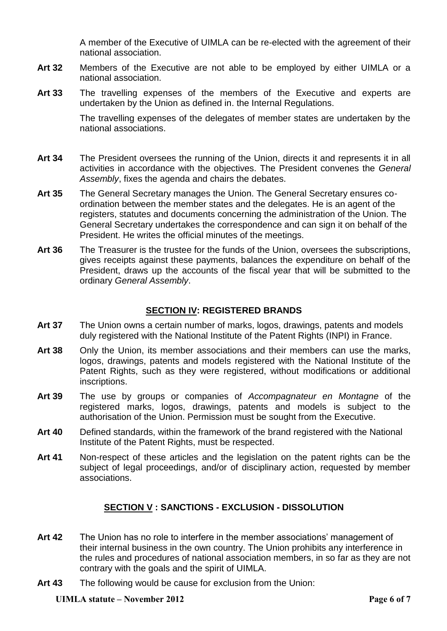A member of the Executive of UIMLA can be re-elected with the agreement of their national association.

- **Art 32** Members of the Executive are not able to be employed by either UIMLA or a national association.
- **Art 33** The travelling expenses of the members of the Executive and experts are undertaken by the Union as defined in. the Internal Regulations.

The travelling expenses of the delegates of member states are undertaken by the national associations.

- **Art 34** The President oversees the running of the Union, directs it and represents it in all activities in accordance with the objectives. The President convenes the *General Assembly*, fixes the agenda and chairs the debates.
- **Art 35** The General Secretary manages the Union. The General Secretary ensures coordination between the member states and the delegates. He is an agent of the registers, statutes and documents concerning the administration of the Union. The General Secretary undertakes the correspondence and can sign it on behalf of the President. He writes the official minutes of the meetings.
- **Art 36** The Treasurer is the trustee for the funds of the Union, oversees the subscriptions, gives receipts against these payments, balances the expenditure on behalf of the President, draws up the accounts of the fiscal year that will be submitted to the ordinary *General Assembly*.

# **SECTION IV: REGISTERED BRANDS**

- **Art 37** The Union owns a certain number of marks, logos, drawings, patents and models duly registered with the National Institute of the Patent Rights (INPI) in France.
- **Art 38** Only the Union, its member associations and their members can use the marks, logos, drawings, patents and models registered with the National Institute of the Patent Rights, such as they were registered, without modifications or additional inscriptions.
- **Art 39** The use by groups or companies of *Accompagnateur en Montagne* of the registered marks, logos, drawings, patents and models is subject to the authorisation of the Union. Permission must be sought from the Executive.
- **Art 40** Defined standards, within the framework of the brand registered with the National Institute of the Patent Rights, must be respected.
- **Art 41** Non-respect of these articles and the legislation on the patent rights can be the subject of legal proceedings, and/or of disciplinary action, requested by member associations.

# **SECTION V : SANCTIONS - EXCLUSION - DISSOLUTION**

- **Art 42** The Union has no role to interfere in the member associations' management of their internal business in the own country. The Union prohibits any interference in the rules and procedures of national association members, in so far as they are not contrary with the goals and the spirit of UIMLA.
- **Art 43** The following would be cause for exclusion from the Union: